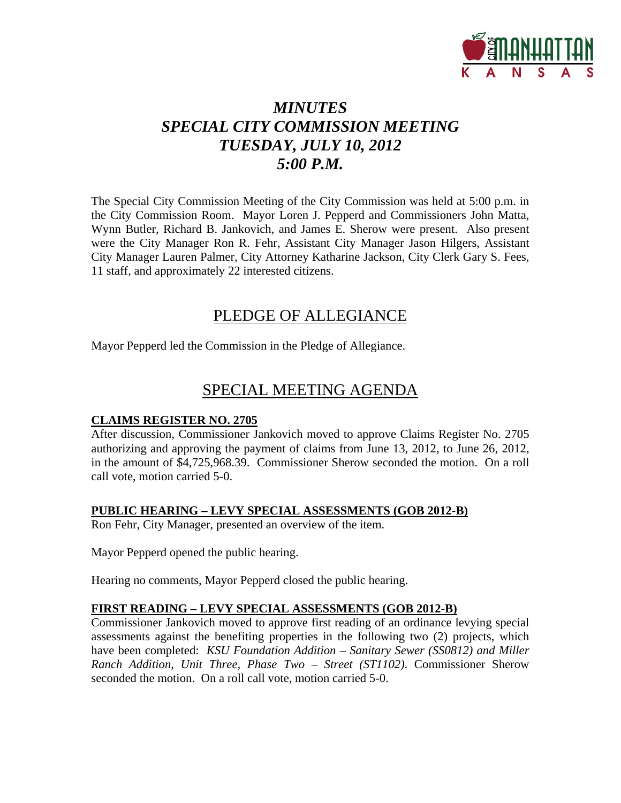

# *MINUTES SPECIAL CITY COMMISSION MEETING TUESDAY, JULY 10, 2012 5:00 P.M.*

The Special City Commission Meeting of the City Commission was held at 5:00 p.m. in the City Commission Room. Mayor Loren J. Pepperd and Commissioners John Matta, Wynn Butler, Richard B. Jankovich, and James E. Sherow were present. Also present were the City Manager Ron R. Fehr, Assistant City Manager Jason Hilgers, Assistant City Manager Lauren Palmer, City Attorney Katharine Jackson, City Clerk Gary S. Fees, 11 staff, and approximately 22 interested citizens.

### PLEDGE OF ALLEGIANCE

Mayor Pepperd led the Commission in the Pledge of Allegiance.

## SPECIAL MEETING AGENDA

### **CLAIMS REGISTER NO. 2705**

After discussion, Commissioner Jankovich moved to approve Claims Register No. 2705 authorizing and approving the payment of claims from June 13, 2012, to June 26, 2012, in the amount of \$4,725,968.39. Commissioner Sherow seconded the motion. On a roll call vote, motion carried 5-0.

### **PUBLIC HEARING – LEVY SPECIAL ASSESSMENTS (GOB 2012-B)**

Ron Fehr, City Manager, presented an overview of the item.

Mayor Pepperd opened the public hearing.

Hearing no comments, Mayor Pepperd closed the public hearing.

### **FIRST READING – LEVY SPECIAL ASSESSMENTS (GOB 2012-B)**

Commissioner Jankovich moved to approve first reading of an ordinance levying special assessments against the benefiting properties in the following two (2) projects, which have been completed: *KSU Foundation Addition – Sanitary Sewer (SS0812) and Miller Ranch Addition, Unit Three, Phase Two – Street (ST1102)*. Commissioner Sherow seconded the motion. On a roll call vote, motion carried 5-0.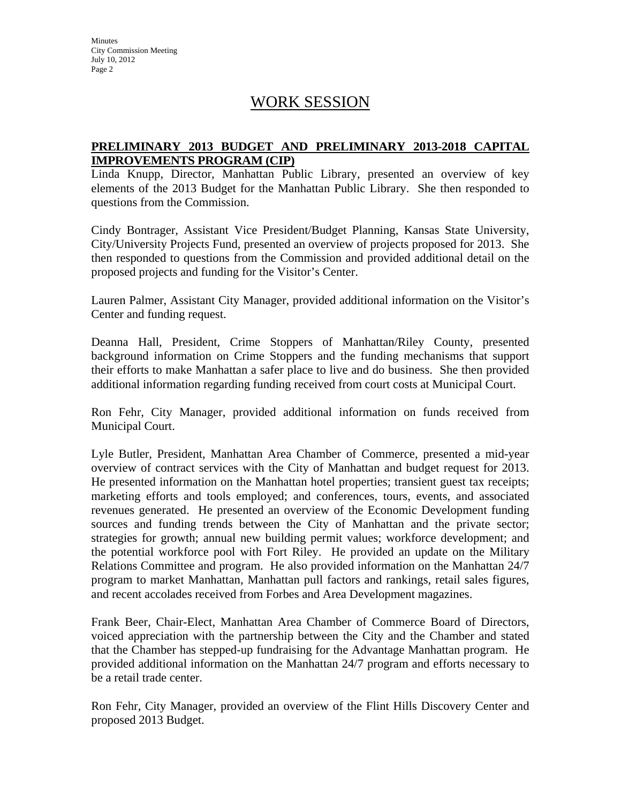**Minutes** City Commission Meeting July 10, 2012 Page 2

### WORK SESSION

### **PRELIMINARY 2013 BUDGET AND PRELIMINARY 2013-2018 CAPITAL IMPROVEMENTS PROGRAM (CIP)**

Linda Knupp, Director, Manhattan Public Library, presented an overview of key elements of the 2013 Budget for the Manhattan Public Library. She then responded to questions from the Commission.

Cindy Bontrager, Assistant Vice President/Budget Planning, Kansas State University, City/University Projects Fund, presented an overview of projects proposed for 2013. She then responded to questions from the Commission and provided additional detail on the proposed projects and funding for the Visitor's Center.

Lauren Palmer, Assistant City Manager, provided additional information on the Visitor's Center and funding request.

Deanna Hall, President, Crime Stoppers of Manhattan/Riley County, presented background information on Crime Stoppers and the funding mechanisms that support their efforts to make Manhattan a safer place to live and do business. She then provided additional information regarding funding received from court costs at Municipal Court.

Ron Fehr, City Manager, provided additional information on funds received from Municipal Court.

Lyle Butler, President, Manhattan Area Chamber of Commerce, presented a mid-year overview of contract services with the City of Manhattan and budget request for 2013. He presented information on the Manhattan hotel properties; transient guest tax receipts; marketing efforts and tools employed; and conferences, tours, events, and associated revenues generated. He presented an overview of the Economic Development funding sources and funding trends between the City of Manhattan and the private sector; strategies for growth; annual new building permit values; workforce development; and the potential workforce pool with Fort Riley. He provided an update on the Military Relations Committee and program. He also provided information on the Manhattan 24/7 program to market Manhattan, Manhattan pull factors and rankings, retail sales figures, and recent accolades received from Forbes and Area Development magazines.

Frank Beer, Chair-Elect, Manhattan Area Chamber of Commerce Board of Directors, voiced appreciation with the partnership between the City and the Chamber and stated that the Chamber has stepped-up fundraising for the Advantage Manhattan program. He provided additional information on the Manhattan 24/7 program and efforts necessary to be a retail trade center.

Ron Fehr, City Manager, provided an overview of the Flint Hills Discovery Center and proposed 2013 Budget.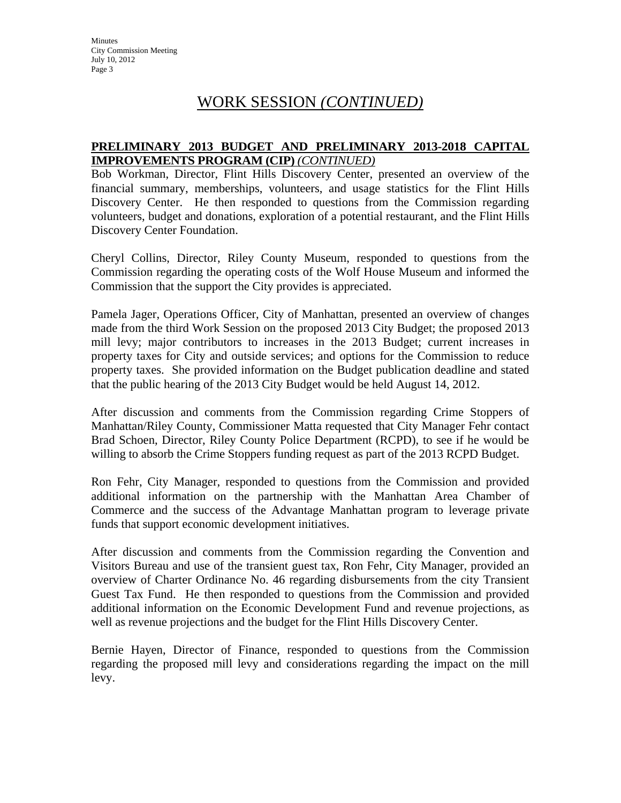**Minutes** City Commission Meeting July 10, 2012 Page 3

### WORK SESSION *(CONTINUED)*

#### **PRELIMINARY 2013 BUDGET AND PRELIMINARY 2013-2018 CAPITAL IMPROVEMENTS PROGRAM (CIP)** *(CONTINUED)*

Bob Workman, Director, Flint Hills Discovery Center, presented an overview of the financial summary, memberships, volunteers, and usage statistics for the Flint Hills Discovery Center. He then responded to questions from the Commission regarding volunteers, budget and donations, exploration of a potential restaurant, and the Flint Hills Discovery Center Foundation.

Cheryl Collins, Director, Riley County Museum, responded to questions from the Commission regarding the operating costs of the Wolf House Museum and informed the Commission that the support the City provides is appreciated.

Pamela Jager, Operations Officer, City of Manhattan, presented an overview of changes made from the third Work Session on the proposed 2013 City Budget; the proposed 2013 mill levy; major contributors to increases in the 2013 Budget; current increases in property taxes for City and outside services; and options for the Commission to reduce property taxes. She provided information on the Budget publication deadline and stated that the public hearing of the 2013 City Budget would be held August 14, 2012.

After discussion and comments from the Commission regarding Crime Stoppers of Manhattan/Riley County, Commissioner Matta requested that City Manager Fehr contact Brad Schoen, Director, Riley County Police Department (RCPD), to see if he would be willing to absorb the Crime Stoppers funding request as part of the 2013 RCPD Budget.

Ron Fehr, City Manager, responded to questions from the Commission and provided additional information on the partnership with the Manhattan Area Chamber of Commerce and the success of the Advantage Manhattan program to leverage private funds that support economic development initiatives.

After discussion and comments from the Commission regarding the Convention and Visitors Bureau and use of the transient guest tax, Ron Fehr, City Manager, provided an overview of Charter Ordinance No. 46 regarding disbursements from the city Transient Guest Tax Fund. He then responded to questions from the Commission and provided additional information on the Economic Development Fund and revenue projections, as well as revenue projections and the budget for the Flint Hills Discovery Center.

Bernie Hayen, Director of Finance, responded to questions from the Commission regarding the proposed mill levy and considerations regarding the impact on the mill levy.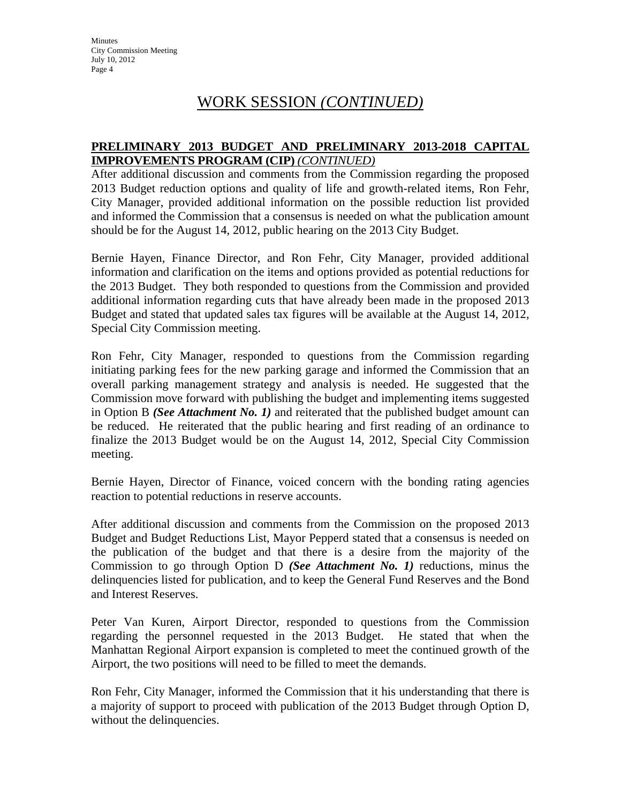**Minutes** City Commission Meeting July 10, 2012 Page 4

### WORK SESSION *(CONTINUED)*

#### **PRELIMINARY 2013 BUDGET AND PRELIMINARY 2013-2018 CAPITAL IMPROVEMENTS PROGRAM (CIP)** *(CONTINUED)*

After additional discussion and comments from the Commission regarding the proposed 2013 Budget reduction options and quality of life and growth-related items, Ron Fehr, City Manager, provided additional information on the possible reduction list provided and informed the Commission that a consensus is needed on what the publication amount should be for the August 14, 2012, public hearing on the 2013 City Budget.

Bernie Hayen, Finance Director, and Ron Fehr, City Manager, provided additional information and clarification on the items and options provided as potential reductions for the 2013 Budget. They both responded to questions from the Commission and provided additional information regarding cuts that have already been made in the proposed 2013 Budget and stated that updated sales tax figures will be available at the August 14, 2012, Special City Commission meeting.

Ron Fehr, City Manager, responded to questions from the Commission regarding initiating parking fees for the new parking garage and informed the Commission that an overall parking management strategy and analysis is needed. He suggested that the Commission move forward with publishing the budget and implementing items suggested in Option B *(See Attachment No. 1)* and reiterated that the published budget amount can be reduced. He reiterated that the public hearing and first reading of an ordinance to finalize the 2013 Budget would be on the August 14, 2012, Special City Commission meeting.

Bernie Hayen, Director of Finance, voiced concern with the bonding rating agencies reaction to potential reductions in reserve accounts.

After additional discussion and comments from the Commission on the proposed 2013 Budget and Budget Reductions List, Mayor Pepperd stated that a consensus is needed on the publication of the budget and that there is a desire from the majority of the Commission to go through Option D *(See Attachment No. 1)* reductions, minus the delinquencies listed for publication, and to keep the General Fund Reserves and the Bond and Interest Reserves.

Peter Van Kuren, Airport Director, responded to questions from the Commission regarding the personnel requested in the 2013 Budget. He stated that when the Manhattan Regional Airport expansion is completed to meet the continued growth of the Airport, the two positions will need to be filled to meet the demands.

Ron Fehr, City Manager, informed the Commission that it his understanding that there is a majority of support to proceed with publication of the 2013 Budget through Option D, without the delinquencies.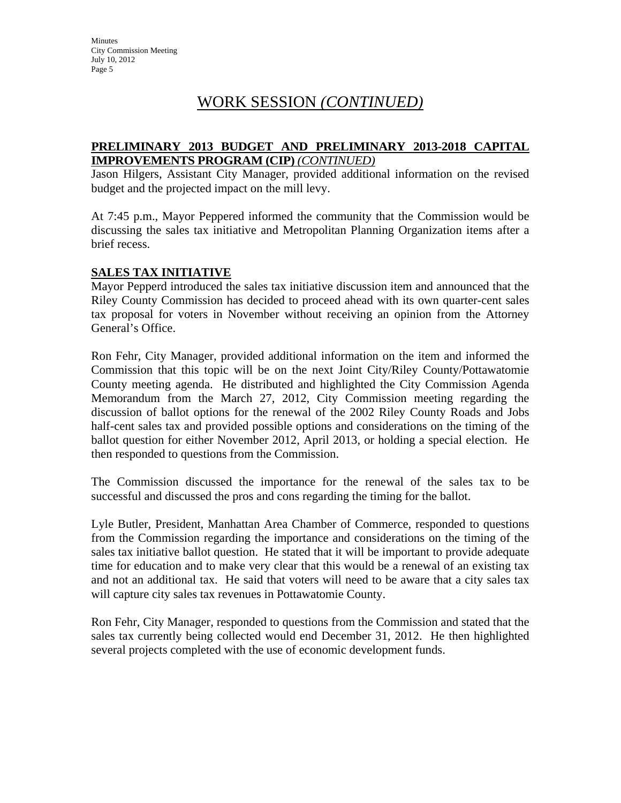## WORK SESSION *(CONTINUED)*

#### **PRELIMINARY 2013 BUDGET AND PRELIMINARY 2013-2018 CAPITAL IMPROVEMENTS PROGRAM (CIP)** *(CONTINUED)*

Jason Hilgers, Assistant City Manager, provided additional information on the revised budget and the projected impact on the mill levy.

At 7:45 p.m., Mayor Peppered informed the community that the Commission would be discussing the sales tax initiative and Metropolitan Planning Organization items after a brief recess.

### **SALES TAX INITIATIVE**

Mayor Pepperd introduced the sales tax initiative discussion item and announced that the Riley County Commission has decided to proceed ahead with its own quarter-cent sales tax proposal for voters in November without receiving an opinion from the Attorney General's Office.

Ron Fehr, City Manager, provided additional information on the item and informed the Commission that this topic will be on the next Joint City/Riley County/Pottawatomie County meeting agenda. He distributed and highlighted the City Commission Agenda Memorandum from the March 27, 2012, City Commission meeting regarding the discussion of ballot options for the renewal of the 2002 Riley County Roads and Jobs half-cent sales tax and provided possible options and considerations on the timing of the ballot question for either November 2012, April 2013, or holding a special election. He then responded to questions from the Commission.

The Commission discussed the importance for the renewal of the sales tax to be successful and discussed the pros and cons regarding the timing for the ballot.

Lyle Butler, President, Manhattan Area Chamber of Commerce, responded to questions from the Commission regarding the importance and considerations on the timing of the sales tax initiative ballot question. He stated that it will be important to provide adequate time for education and to make very clear that this would be a renewal of an existing tax and not an additional tax. He said that voters will need to be aware that a city sales tax will capture city sales tax revenues in Pottawatomie County.

Ron Fehr, City Manager, responded to questions from the Commission and stated that the sales tax currently being collected would end December 31, 2012. He then highlighted several projects completed with the use of economic development funds.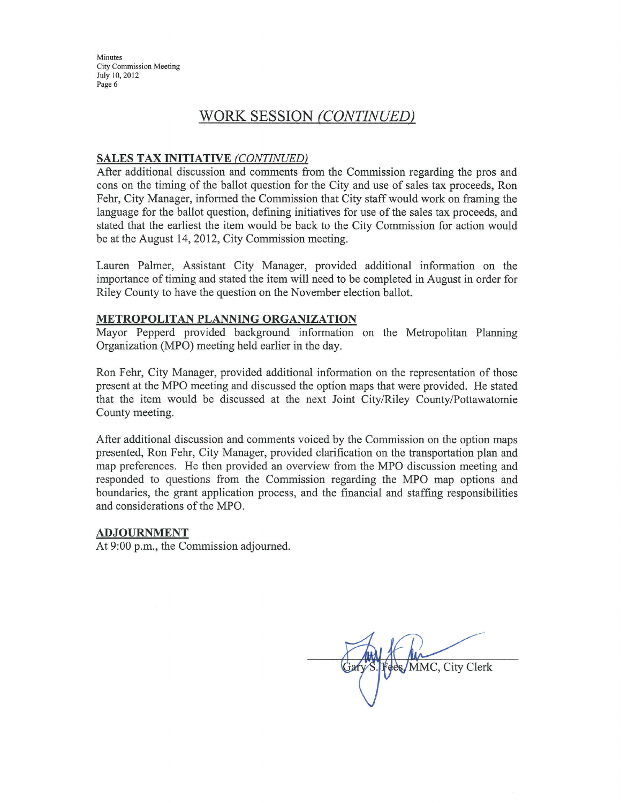Minutes **City Commission Meeting** July 10, 2012 Page 6

### WORK SESSION (CONTINUED)

#### **SALES TAX INITIATIVE (CONTINUED)**

After additional discussion and comments from the Commission regarding the pros and cons on the timing of the ballot question for the City and use of sales tax proceeds, Ron Fehr, City Manager, informed the Commission that City staff would work on framing the language for the ballot question, defining initiatives for use of the sales tax proceeds, and stated that the earliest the item would be back to the City Commission for action would be at the August 14, 2012, City Commission meeting.

Lauren Palmer, Assistant City Manager, provided additional information on the importance of timing and stated the item will need to be completed in August in order for Riley County to have the question on the November election ballot.

#### METROPOLITAN PLANNING ORGANIZATION

Mayor Pepperd provided background information on the Metropolitan Planning Organization (MPO) meeting held earlier in the day.

Ron Fehr, City Manager, provided additional information on the representation of those present at the MPO meeting and discussed the option maps that were provided. He stated that the item would be discussed at the next Joint City/Riley County/Pottawatomie County meeting.

After additional discussion and comments voiced by the Commission on the option maps presented, Ron Fehr, City Manager, provided clarification on the transportation plan and map preferences. He then provided an overview from the MPO discussion meeting and responded to questions from the Commission regarding the MPO map options and boundaries, the grant application process, and the financial and staffing responsibilities and considerations of the MPO.

#### **ADJOURNMENT**

At 9:00 p.m., the Commission adjourned.

ees/MMC, City Clerk